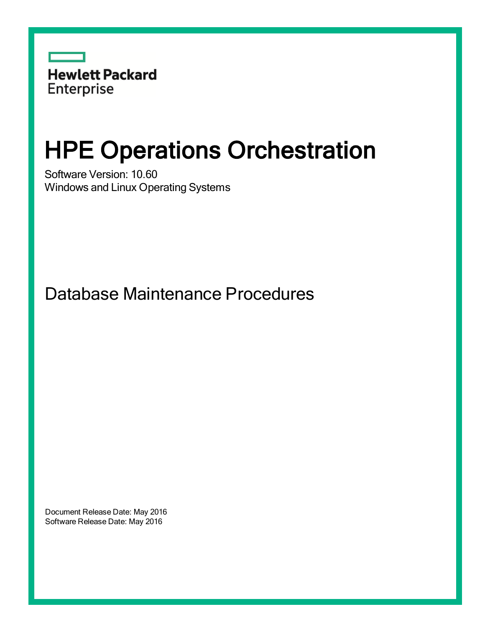

# HPE Operations Orchestration

Software Version: 10.60 Windows and Linux Operating Systems

Database Maintenance Procedures

Document Release Date: May 2016 Software Release Date: May 2016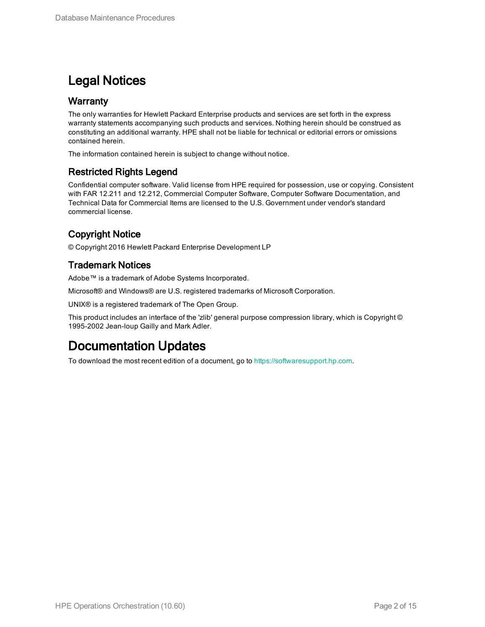### Legal Notices

#### **Warranty**

The only warranties for Hewlett Packard Enterprise products and services are set forth in the express warranty statements accompanying such products and services. Nothing herein should be construed as constituting an additional warranty. HPE shall not be liable for technical or editorial errors or omissions contained herein.

The information contained herein is subject to change without notice.

#### Restricted Rights Legend

Confidential computer software. Valid license from HPE required for possession, use or copying. Consistent with FAR 12.211 and 12.212, Commercial Computer Software, Computer Software Documentation, and Technical Data for Commercial Items are licensed to the U.S. Government under vendor's standard commercial license.

### Copyright Notice

© Copyright 2016 Hewlett Packard Enterprise Development LP

#### Trademark Notices

Adobe™ is a trademark of Adobe Systems Incorporated.

Microsoft® and Windows® are U.S. registered trademarks of Microsoft Corporation.

UNIX® is a registered trademark of The Open Group.

This product includes an interface of the 'zlib' general purpose compression library, which is Copyright © 1995-2002 Jean-loup Gailly and Mark Adler.

### Documentation Updates

To download the most recent edition of a document, go to [https://softwaresupport.hp.com.](https://softwaresupport.hp.com/)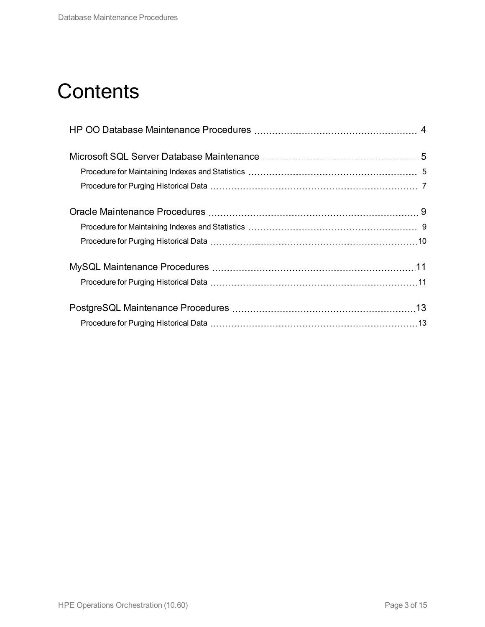## **Contents**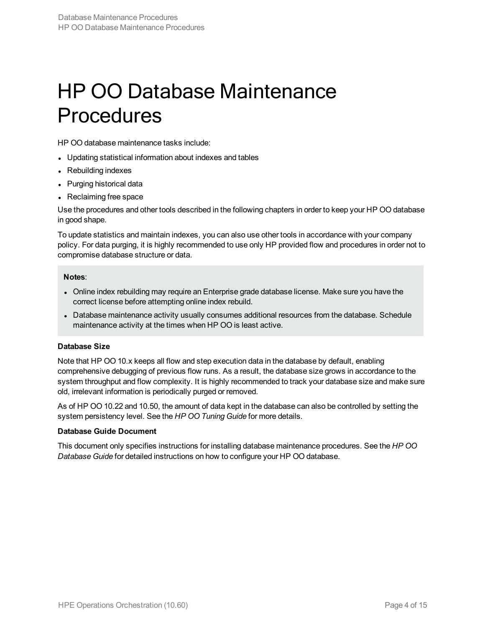## <span id="page-3-0"></span>HP OO Database Maintenance Procedures

HP OO database maintenance tasks include:

- Updating statistical information about indexes and tables
- Rebuilding indexes
- Purging historical data
- Reclaiming free space

Use the procedures and other tools described in the following chapters in order to keep your HP OO database in good shape.

To update statistics and maintain indexes, you can also use other tools in accordance with your company policy. For data purging, it is highly recommended to use only HP provided flow and procedures in order not to compromise database structure or data.

#### **Notes**:

- Online index rebuilding may require an Enterprise grade database license. Make sure you have the correct license before attempting online index rebuild.
- Database maintenance activity usually consumes additional resources from the database. Schedule maintenance activity at the times when HP OO is least active.

#### **Database Size**

Note that HP OO 10.x keeps all flow and step execution data in the database by default, enabling comprehensive debugging of previous flow runs. As a result, the database size grows in accordance to the system throughput and flow complexity. It is highly recommended to track your database size and make sure old, irrelevant information is periodically purged or removed.

As of HP OO 10.22 and 10.50, the amount of data kept in the database can also be controlled by setting the system persistency level. See the *HP OO Tuning Guide* for more details.

#### **Database Guide Document**

This document only specifies instructions for installing database maintenance procedures. See the *HP OO Database Guide* for detailed instructions on how to configure your HP OO database.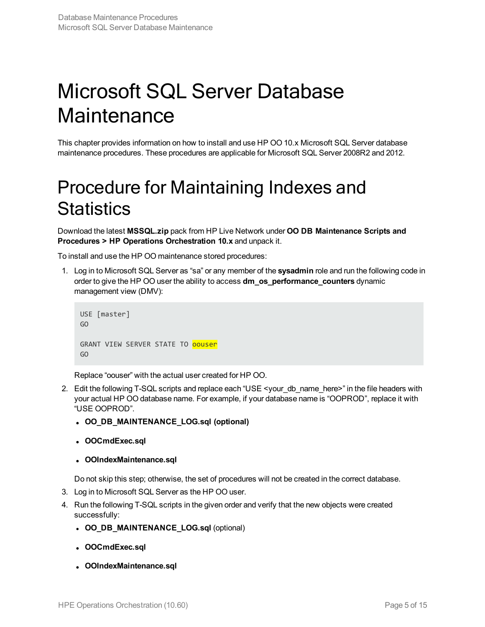# <span id="page-4-0"></span>Microsoft SQL Server Database **Maintenance**

<span id="page-4-1"></span>This chapter provides information on how to install and use HP OO 10.x Microsoft SQL Server database maintenance procedures. These procedures are applicable for Microsoft SQL Server 2008R2 and 2012.

## Procedure for Maintaining Indexes and **Statistics**

Download the latest **MSSQL.zip** pack from HP Live Network under **OO DB Maintenance Scripts and Procedures > HP Operations Orchestration 10.x** and unpack it.

To install and use the HP OO maintenance stored procedures:

1. Log in to Microsoft SQL Server as "sa" or any member of the **sysadmin** role and run the following code in order to give the HP OO user the ability to access **dm\_os\_performance\_counters** dynamic management view (DMV):

```
USE [master]
GO
GRANT VIEW SERVER STATE TO oouser
GO
```
Replace "oouser" with the actual user created for HP OO.

- 2. Edit the following T-SQL scripts and replace each "USE <your\_db\_name\_here>" in the file headers with your actual HP OO database name. For example, if your database name is "OOPROD", replace it with "USE OOPROD".
	- <sup>l</sup> **OO\_DB\_MAINTENANCE\_LOG.sql (optional)**
	- <sup>l</sup> **OOCmdExec.sql**
	- <sup>l</sup> **OOIndexMaintenance.sql**

Do not skip this step; otherwise, the set of procedures will not be created in the correct database.

- 3. Log in to Microsoft SQL Server as the HP OO user.
- 4. Run the following T-SQL scripts in the given order and verify that the new objects were created successfully:
	- <sup>l</sup> **OO\_DB\_MAINTENANCE\_LOG.sql** (optional)
	- <sup>l</sup> **OOCmdExec.sql**
	- <sup>l</sup> **OOIndexMaintenance.sql**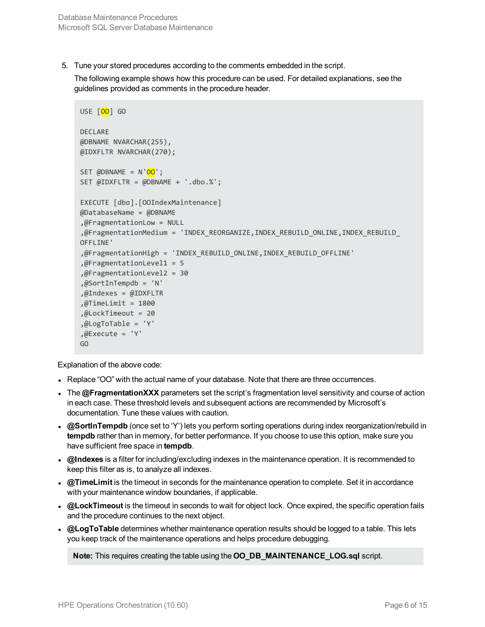5. Tune your stored procedures according to the comments embedded in the script.

The following example shows how this procedure can be used. For detailed explanations, see the guidelines provided as comments in the procedure header.

```
USE [00] GO
DECLARE
@DBNAME NVARCHAR(255),
@IDXFLTR NVARCHAR(270);
SET \omegaDBNAME = N'\omega';
SET @IDXFLTR = @DBNAME + '.dbo.%';
EXECUTE [dbo].[OOIndexMaintenance]
@DatabaseName = @DBNAME
,@FragmentationLow = NULL
,@FragmentationMedium = 'INDEX_REORGANIZE,INDEX_REBUILD_ONLINE,INDEX_REBUILD_
OFFLINE'
,@FragmentationHigh = 'INDEX_REBUILD_ONLINE,INDEX_REBUILD_OFFLINE'
,@FragmentationLevel1 = 5
,@FragmentationLevel2 = 30
,@SortInTempdb = 'N'
,@Indexes = @IDXFLTR
,@TimeLimit = 1800
,@LockTimeout = 20
,@LogToTable = 'Y'
, @Execute = 'Y'GO
```
Explanation of the above code:

- Replace "OO" with the actual name of your database. Note that there are three occurrences.
- The **@FragmentationXXX** parameters set the script's fragmentation level sensitivity and course of action in each case. These threshold levels and subsequent actions are recommended by Microsoft's documentation. Tune these values with caution.
- **@SortInTempdb** (once set to 'Y') lets you perform sorting operations during index reorganization/rebuild in **tempdb** rather than in memory, for better performance. If you choose to use this option, make sure you have sufficient free space in **tempdb**.
- <sup>l</sup> **@Indexes** is a filter for including/excluding indexes in the maintenance operation. It is recommended to keep this filter as is, to analyze all indexes.
- **@TimeLimit** is the timeout in seconds for the maintenance operation to complete. Set it in accordance with your maintenance window boundaries, if applicable.
- **@LockTimeout** is the timeout in seconds to wait for object lock. Once expired, the specific operation fails and the procedure continues to the next object.
- **@LogToTable** determines whether maintenance operation results should be logged to a table. This lets you keep track of the maintenance operations and helps procedure debugging.

**Note:** This requires creating the table using the **OO\_DB\_MAINTENANCE\_LOG.sql** script.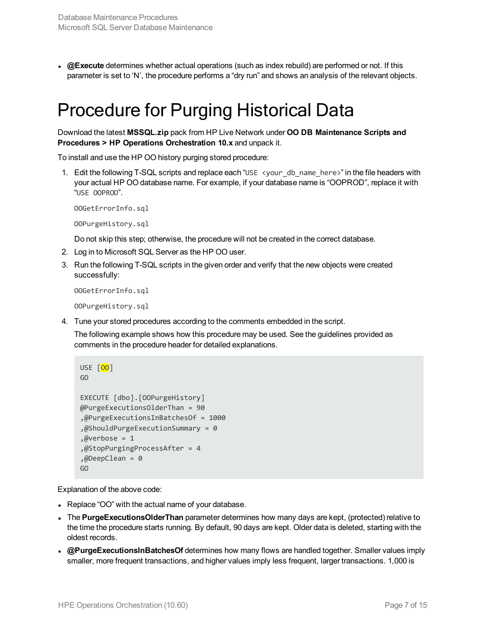<span id="page-6-0"></span>**.** @Execute determines whether actual operations (such as index rebuild) are performed or not. If this parameter is set to 'N', the procedure performs a "dry run" and shows an analysis of the relevant objects.

### Procedure for Purging Historical Data

Download the latest **MSSQL.zip** pack from HP Live Network under **OO DB Maintenance Scripts and Procedures > HP Operations Orchestration 10.x** and unpack it.

To install and use the HP OO history purging stored procedure:

1. Edit the following T-SQL scripts and replace each "USE <your\_db\_name\_here>" in the file headers with your actual HP OO database name. For example, if your database name is "OOPROD", replace it with "USE OOPROD".

OOGetErrorInfo.sql

OOPurgeHistory.sql

Do not skip this step; otherwise, the procedure will not be created in the correct database.

- 2. Log in to Microsoft SQL Server as the HP OO user.
- 3. Run the following T-SQL scripts in the given order and verify that the new objects were created successfully:

OOGetErrorInfo.sql

OOPurgeHistory.sql

4. Tune your stored procedures according to the comments embedded in the script.

The following example shows how this procedure may be used. See the guidelines provided as comments in the procedure header for detailed explanations.

```
USE [00]
GO
EXECUTE [dbo].[OOPurgeHistory]
@PurgeExecutionsOlderThan = 90
,@PurgeExecutionsInBatchesOf = 1000
,@ShouldPurgeExecutionSummary = 0
,@verbose = 1
,@StopPurgingProcessAfter = 4
,@DeepClean = 0
GO
```
Explanation of the above code:

- Replace "OO" with the actual name of your database.
- The **PurgeExecutionsOlderThan** parameter determines how many days are kept, (protected) relative to the time the procedure starts running. By default, 90 days are kept. Older data is deleted, starting with the oldest records.
- **@PurgeExecutionsInBatchesOf** determines how many flows are handled together. Smaller values imply smaller, more frequent transactions, and higher values imply less frequent, larger transactions. 1,000 is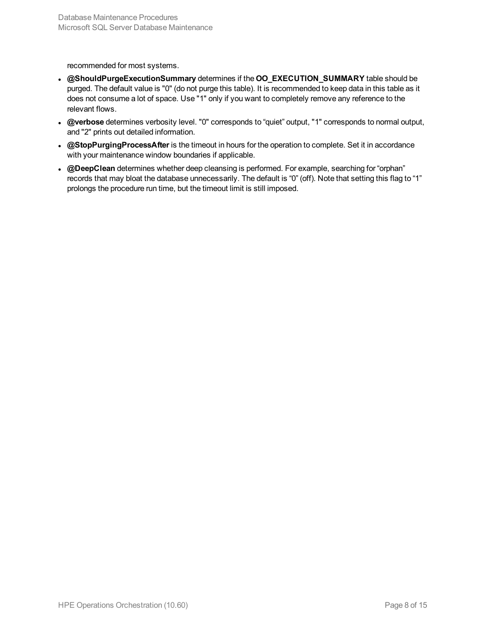recommended for most systems.

- <sup>l</sup> **@ShouldPurgeExecutionSummary** determines if the **OO\_EXECUTION\_SUMMARY** table should be purged. The default value is "0" (do not purge this table). It is recommended to keep data in this table as it does not consume a lot of space. Use "1" only if you want to completely remove any reference to the relevant flows.
- <sup>l</sup> **@verbose** determines verbosity level. "0" corresponds to "quiet" output, "1" corresponds to normal output, and "2" prints out detailed information.
- **@StopPurgingProcessAfter** is the timeout in hours for the operation to complete. Set it in accordance with your maintenance window boundaries if applicable.
- <sup>l</sup> **@DeepClean** determines whether deep cleansing is performed. For example, searching for "orphan" records that may bloat the database unnecessarily. The default is "0" (off). Note that setting this flag to "1" prolongs the procedure run time, but the timeout limit is still imposed.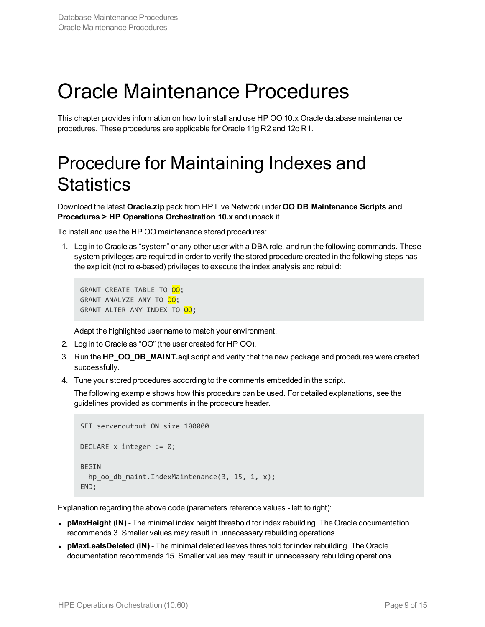# <span id="page-8-0"></span>Oracle Maintenance Procedures

<span id="page-8-1"></span>This chapter provides information on how to install and use HP OO 10.x Oracle database maintenance procedures. These procedures are applicable for Oracle 11g R2 and 12c R1.

## Procedure for Maintaining Indexes and **Statistics**

Download the latest **Oracle.zip** pack from HP Live Network under **OO DB Maintenance Scripts and Procedures > HP Operations Orchestration 10.x** and unpack it.

To install and use the HP OO maintenance stored procedures:

1. Log in to Oracle as "system" or any other user with a DBA role, and run the following commands. These system privileges are required in order to verify the stored procedure created in the following steps has the explicit (not role-based) privileges to execute the index analysis and rebuild:

GRANT CREATE TABLE TO 00; GRANT ANALYZE ANY TO 00; GRANT ALTER ANY INDEX TO 00;

Adapt the highlighted user name to match your environment.

- 2. Log in to Oracle as "OO" (the user created for HP OO).
- 3. Run the **HP\_OO\_DB\_MAINT.sql** script and verify that the new package and procedures were created successfully.
- 4. Tune your stored procedures according to the comments embedded in the script.

The following example shows how this procedure can be used. For detailed explanations, see the guidelines provided as comments in the procedure header.

```
SET serveroutput ON size 100000
DECLARE x integer := 0;
BEGTN
  hp_oo_db_maint.IndexMaintenance(3, 15, 1, x);
END;
```
Explanation regarding the above code (parameters reference values - left to right):

- **pMaxHeight (IN)** The minimal index height threshold for index rebuilding. The Oracle documentation recommends 3. Smaller values may result in unnecessary rebuilding operations.
- <sup>l</sup> **pMaxLeafsDeleted (IN)** The minimal deleted leaves threshold for index rebuilding. The Oracle documentation recommends 15. Smaller values may result in unnecessary rebuilding operations.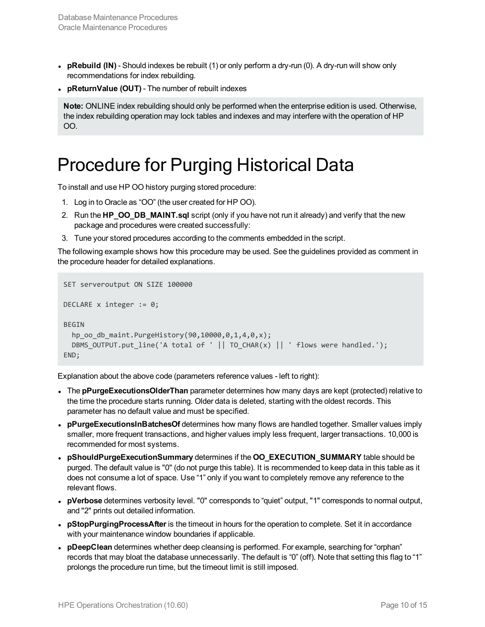- **pRebuild (IN)** Should indexes be rebuilt (1) or only perform a dry-run (0). A dry-run will show only recommendations for index rebuilding.
- <sup>l</sup> **pReturnValue (OUT)** The number of rebuilt indexes

**Note:** ONLINE index rebuilding should only be performed when the enterprise edition is used. Otherwise, the index rebuilding operation may lock tables and indexes and may interfere with the operation of HP OO.

### <span id="page-9-0"></span>Procedure for Purging Historical Data

To install and use HP OO history purging stored procedure:

- 1. Log in to Oracle as "OO" (the user created for HP OO).
- 2. Run the **HP\_OO\_DB\_MAINT.sql** script (only if you have not run it already) and verify that the new package and procedures were created successfully:
- 3. Tune your stored procedures according to the comments embedded in the script.

The following example shows how this procedure may be used. See the guidelines provided as comment in the procedure header for detailed explanations.

```
SET serveroutput ON SIZE 100000
DECLARE x integer := 0;
BEGTN
  hp_oo_db_maint.PurgeHistory(90,10000,0,1,4,0,x);
  DBMS_OUTPUT.put_line('A total of ' || TO_CHAR(x) || ' flows were handled.');
END;
```
Explanation about the above code (parameters reference values - left to right):

- The **pPurgeExecutionsOlderThan** parameter determines how many days are kept (protected) relative to the time the procedure starts running. Older data is deleted, starting with the oldest records. This parameter has no default value and must be specified.
- **pPurgeExecutionsInBatchesOf** determines how many flows are handled together. Smaller values imply smaller, more frequent transactions, and higher values imply less frequent, larger transactions. 10,000 is recommended for most systems.
- <sup>l</sup> **pShouldPurgeExecutionSummary** determines if the **OO\_EXECUTION\_SUMMARY** table should be purged. The default value is "0" (do not purge this table). It is recommended to keep data in this table as it does not consume a lot of space. Use "1" only if you want to completely remove any reference to the relevant flows.
- <sup>l</sup> **pVerbose** determines verbosity level. "0" corresponds to "quiet" output, "1" corresponds to normal output, and "2" prints out detailed information.
- **pStopPurgingProcessAfter** is the timeout in hours for the operation to complete. Set it in accordance with your maintenance window boundaries if applicable.
- **· pDeepClean** determines whether deep cleansing is performed. For example, searching for "orphan" records that may bloat the database unnecessarily. The default is "0" (off). Note that setting this flag to "1" prolongs the procedure run time, but the timeout limit is still imposed.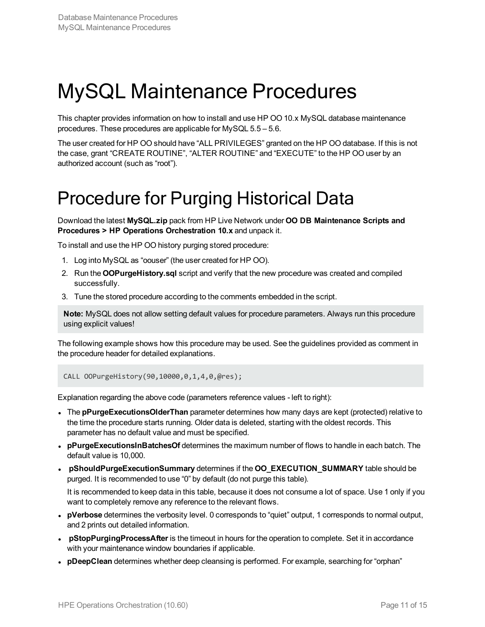## <span id="page-10-0"></span>MySQL Maintenance Procedures

This chapter provides information on how to install and use HP OO 10.x MySQL database maintenance procedures. These procedures are applicable for MySQL 5.5 – 5.6.

The user created for HP OO should have "ALL PRIVILEGES" granted on the HP OO database. If this is not the case, grant "CREATE ROUTINE", "ALTER ROUTINE" and "EXECUTE" to the HP OO user by an authorized account (such as "root").

### <span id="page-10-1"></span>Procedure for Purging Historical Data

Download the latest **MySQL.zip** pack from HP Live Network under **OO DB Maintenance Scripts and Procedures > HP Operations Orchestration 10.x** and unpack it.

To install and use the HP OO history purging stored procedure:

- 1. Log into MySQL as "oouser" (the user created for HP OO).
- 2. Run the **OOPurgeHistory.sql** script and verify that the new procedure was created and compiled successfully.
- 3. Tune the stored procedure according to the comments embedded in the script.

**Note:** MySQL does not allow setting default values for procedure parameters. Always run this procedure using explicit values!

The following example shows how this procedure may be used. See the guidelines provided as comment in the procedure header for detailed explanations.

CALL OOPurgeHistory(90,10000,0,1,4,0,@res);

Explanation regarding the above code (parameters reference values - left to right):

- The **pPurgeExecutionsOlderThan** parameter determines how many days are kept (protected) relative to the time the procedure starts running. Older data is deleted, starting with the oldest records. This parameter has no default value and must be specified.
- <sup>l</sup> **pPurgeExecutionsInBatchesOf** determines the maximum number of flows to handle in each batch. The default value is 10,000.
- <sup>l</sup> **pShouldPurgeExecutionSummary** determines if the **OO\_EXECUTION\_SUMMARY** table should be purged. It is recommended to use "0" by default (do not purge this table).

It is recommended to keep data in this table, because it does not consume a lot of space. Use 1 only if you want to completely remove any reference to the relevant flows.

- <sup>l</sup> **pVerbose** determines the verbosity level. 0 corresponds to "quiet" output, 1 corresponds to normal output, and 2 prints out detailed information.
- **pStopPurgingProcessAfter** is the timeout in hours for the operation to complete. Set it in accordance with your maintenance window boundaries if applicable.
- **· pDeepClean** determines whether deep cleansing is performed. For example, searching for "orphan"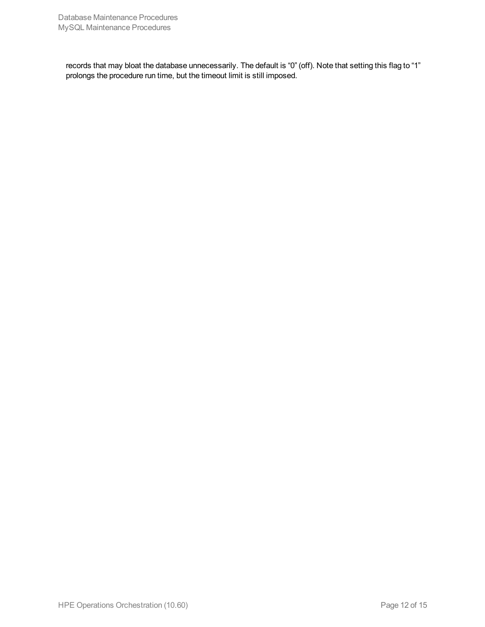records that may bloat the database unnecessarily. The default is "0" (off). Note that setting this flag to "1" prolongs the procedure run time, but the timeout limit is still imposed.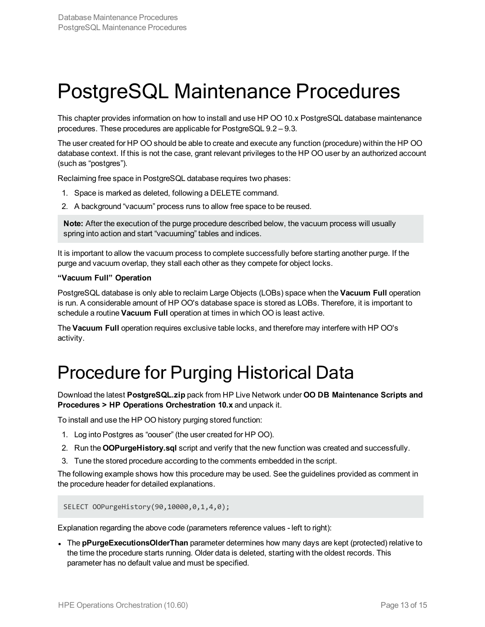## <span id="page-12-0"></span>PostgreSQL Maintenance Procedures

This chapter provides information on how to install and use HP OO 10.x PostgreSQL database maintenance procedures. These procedures are applicable for PostgreSQL 9.2 – 9.3.

The user created for HP OO should be able to create and execute any function (procedure) within the HP OO database context. If this is not the case, grant relevant privileges to the HP OO user by an authorized account (such as "postgres").

Reclaiming free space in PostgreSQL database requires two phases:

- 1. Space is marked as deleted, following a DELETE command.
- 2. A background "vacuum" process runs to allow free space to be reused.

**Note:** After the execution of the purge procedure described below, the vacuum process will usually spring into action and start "vacuuming" tables and indices.

It is important to allow the vacuum process to complete successfully before starting another purge. If the purge and vacuum overlap, they stall each other as they compete for object locks.

#### **"Vacuum Full" Operation**

PostgreSQL database is only able to reclaim Large Objects (LOBs) space when the **Vacuum Full** operation is run. A considerable amount of HP OO's database space is stored as LOBs. Therefore, it is important to schedule a routine **Vacuum Full** operation at times in which OO is least active.

<span id="page-12-1"></span>The **Vacuum Full** operation requires exclusive table locks, and therefore may interfere with HP OO's activity.

### Procedure for Purging Historical Data

Download the latest **PostgreSQL.zip** pack from HP Live Network under **OO DB Maintenance Scripts and Procedures > HP Operations Orchestration 10.x** and unpack it.

To install and use the HP OO history purging stored function:

- 1. Log into Postgres as "oouser" (the user created for HP OO).
- 2. Run the **OOPurgeHistory.sql** script and verify that the new function was created and successfully.
- 3. Tune the stored procedure according to the comments embedded in the script.

The following example shows how this procedure may be used. See the guidelines provided as comment in the procedure header for detailed explanations.

SELECT OOPurgeHistory(90,10000,0,1,4,0);

Explanation regarding the above code (parameters reference values - left to right):

• The **pPurgeExecutionsOlderThan** parameter determines how many days are kept (protected) relative to the time the procedure starts running. Older data is deleted, starting with the oldest records. This parameter has no default value and must be specified.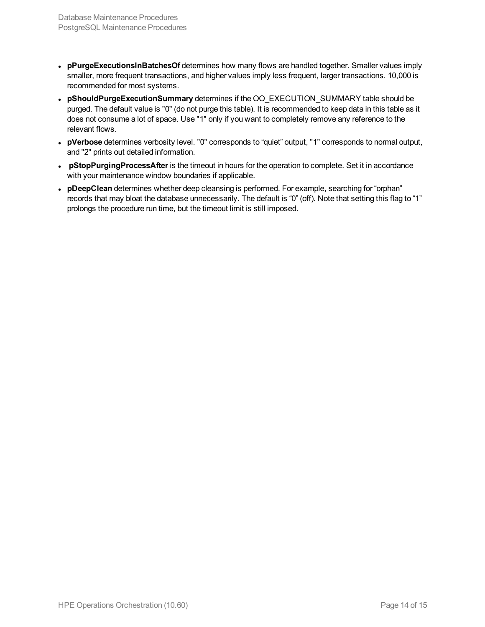- **· pPurgeExecutionsInBatchesOf** determines how many flows are handled together. Smaller values imply smaller, more frequent transactions, and higher values imply less frequent, larger transactions. 10,000 is recommended for most systems.
- <sup>l</sup> **pShouldPurgeExecutionSummary** determines if the OO\_EXECUTION\_SUMMARY table should be purged. The default value is "0" (do not purge this table). It is recommended to keep data in this table as it does not consume a lot of space. Use "1" only if you want to completely remove any reference to the relevant flows.
- <sup>l</sup> **pVerbose** determines verbosity level. "0" corresponds to "quiet" output, "1" corresponds to normal output, and "2" prints out detailed information.
- **pStopPurgingProcessAfter** is the timeout in hours for the operation to complete. Set it in accordance with your maintenance window boundaries if applicable.
- **· pDeepClean** determines whether deep cleansing is performed. For example, searching for "orphan" records that may bloat the database unnecessarily. The default is "0" (off). Note that setting this flag to "1" prolongs the procedure run time, but the timeout limit is still imposed.